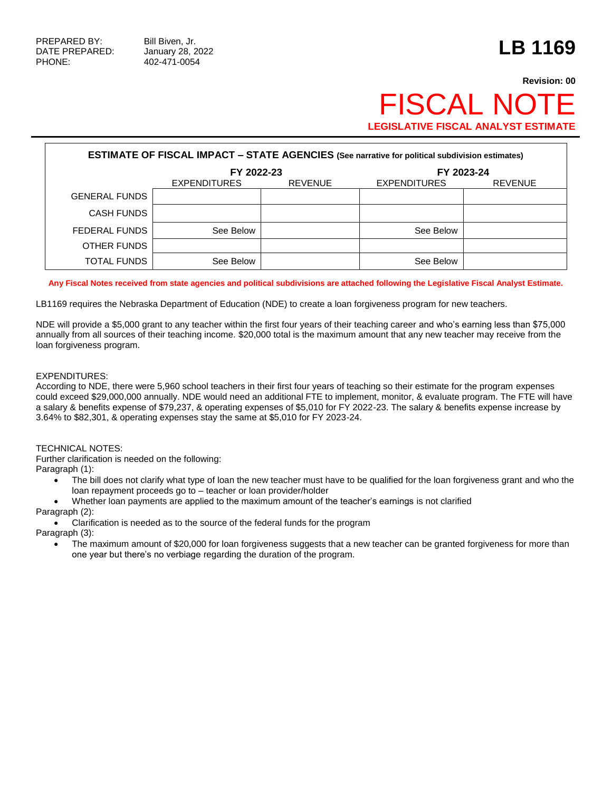## **Revision: 00 FISCAL NO LEGISLATIVE FISCAL ANALYST ESTIMATE**

| <b>ESTIMATE OF FISCAL IMPACT - STATE AGENCIES (See narrative for political subdivision estimates)</b> |                     |                |                     |                |  |  |  |  |
|-------------------------------------------------------------------------------------------------------|---------------------|----------------|---------------------|----------------|--|--|--|--|
|                                                                                                       | FY 2022-23          |                | FY 2023-24          |                |  |  |  |  |
|                                                                                                       | <b>EXPENDITURES</b> | <b>REVENUE</b> | <b>EXPENDITURES</b> | <b>REVENUE</b> |  |  |  |  |
| <b>GENERAL FUNDS</b>                                                                                  |                     |                |                     |                |  |  |  |  |
| <b>CASH FUNDS</b>                                                                                     |                     |                |                     |                |  |  |  |  |
| FEDERAL FUNDS                                                                                         | See Below           |                | See Below           |                |  |  |  |  |
| OTHER FUNDS                                                                                           |                     |                |                     |                |  |  |  |  |
| <b>TOTAL FUNDS</b>                                                                                    | See Below           |                | See Below           |                |  |  |  |  |

**Any Fiscal Notes received from state agencies and political subdivisions are attached following the Legislative Fiscal Analyst Estimate.**

LB1169 requires the Nebraska Department of Education (NDE) to create a loan forgiveness program for new teachers.

NDE will provide a \$5,000 grant to any teacher within the first four years of their teaching career and who's earning less than \$75,000 annually from all sources of their teaching income. \$20,000 total is the maximum amount that any new teacher may receive from the loan forgiveness program.

## EXPENDITURES:

According to NDE, there were 5,960 school teachers in their first four years of teaching so their estimate for the program expenses could exceed \$29,000,000 annually. NDE would need an additional FTE to implement, monitor, & evaluate program. The FTE will have a salary & benefits expense of \$79,237, & operating expenses of \$5,010 for FY 2022-23. The salary & benefits expense increase by 3.64% to \$82,301, & operating expenses stay the same at \$5,010 for FY 2023-24.

## TECHNICAL NOTES:

Further clarification is needed on the following:

Paragraph (1):

- The bill does not clarify what type of loan the new teacher must have to be qualified for the loan forgiveness grant and who the loan repayment proceeds go to – teacher or loan provider/holder
- Whether loan payments are applied to the maximum amount of the teacher's earnings is not clarified

Paragraph (2):

Clarification is needed as to the source of the federal funds for the program

Paragraph (3):

• The maximum amount of \$20,000 for loan forgiveness suggests that a new teacher can be granted forgiveness for more than one year but there's no verbiage regarding the duration of the program.